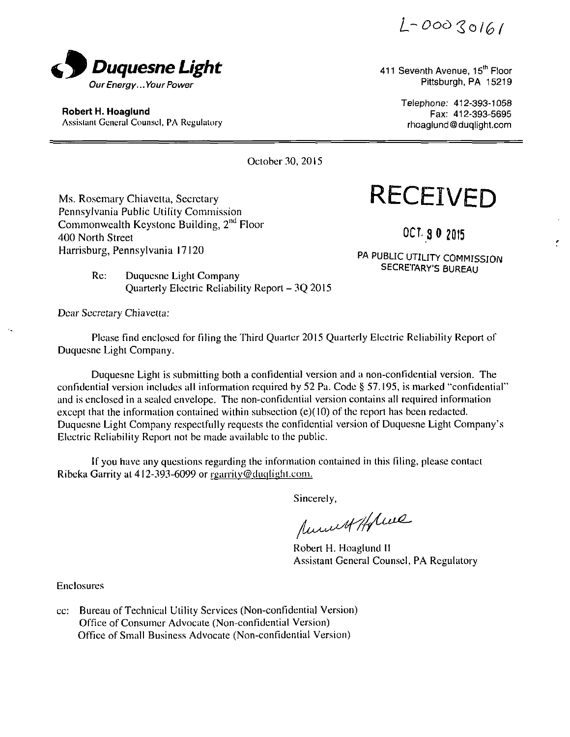$L - 00030161$ 



Robert H. Hoaglund Assistant General Counsel, PA Regulatory rhoaglund@duqlight.com

411 Seventh Avenue, 15th Floor

Telephone: 412-393-1058 412-393-5695

ŕ.

October 30, 2015

Pennsylvania Public Utility Commission Commonwealth Keystone Building, 2<sup>nd</sup> Floor **400 North Street** 3 0 2015 *Harrisburg, Pennsylvania 17120* 

Ms. Rosemary Chiavetta, Secretary **RECEIVED** 

and the set of the set of the set of the set of the set of the set of the set of the set of the set of the set PA PUBLIC UTILITY COMMISSION SECRETARY'S BUREAU

Res: Duquesne Light Company Quarterly Electric Reliability Report - 3Q 2015

Dear Secretary Chiavetta:

Please Find enclosed for filing the Third Quarter 2015 Quarterly Electric Reliability Report of Duquesne Light Company.

Duquesne Light is submitting both a confidential version and a non-confidential version. The confidential version includes all information required by 52 Pa. Code § 57.195, is marked "confidential\* and is enclosed in a sealed envelope. The non-confidential version contains all required information except that the information contained within subsection  $(e)(10)$  of the report has been redacted. Duquesne Light Company respectfully requests the confidential version of Duquesne Light Company's Electric Reliability Reporl nol be made available to the public.

If you have any questions regarding the information contained in this filing, please contact Ribeka Garrity at 412-393-6099 or rgarrity@duqlight.com.

Sincerely,

Ammed Holme

Robert H. Hoaglund II Assistant General Counsel, PA Regulatory

Enclosures

cc: Bureau of Technical Utility Services (Non-confidential Version) Office of Consumer Advocate (Non-confidential Version) Office of Small Business Advocate (Non-confidential Version)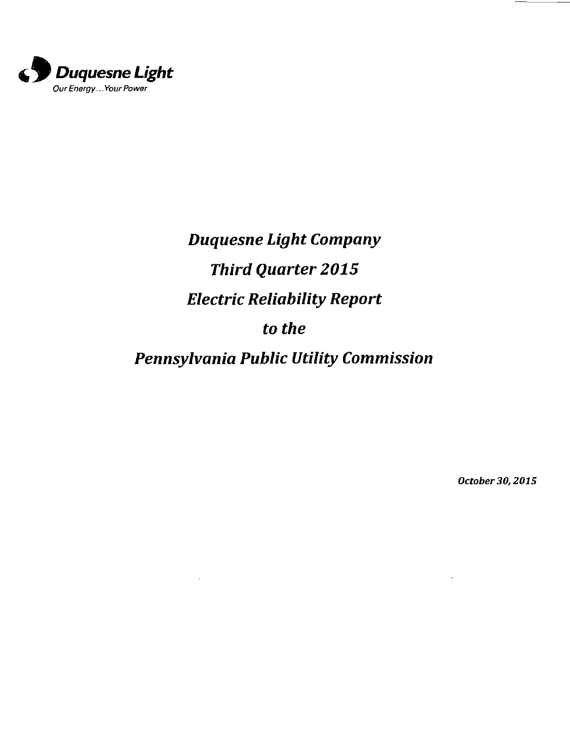

*Duquesne Light Company Third Quarter 2015 Electric Reliability Report to the Pennsylvania Public Utility Commission* 

*October 30,2015*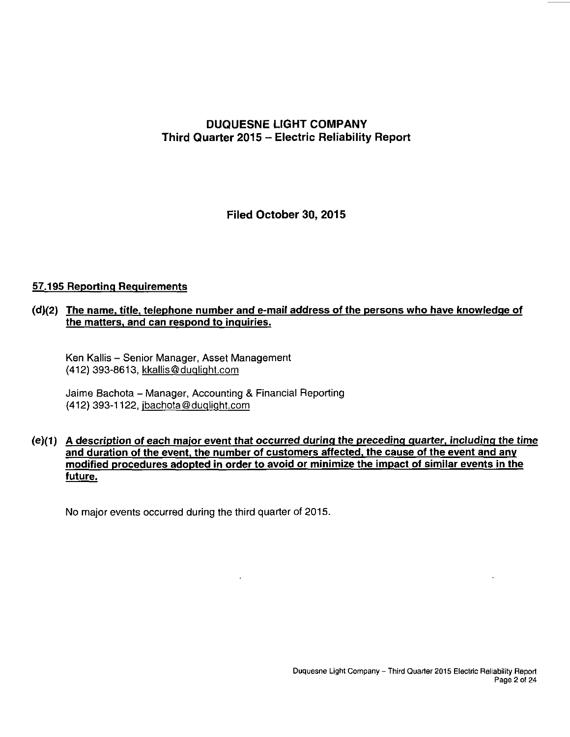# **DUQUESNE LIGHT COMPANY Third Quarter 2015 - Electric Reliability Report**

**Filed October 30, 2015** 

#### **57.195 Reporting Requirements**

#### **(d) (2) The name, title, telephone number and e-mail address of the persons who have knowledge of the matters, and can respond to inquiries.**

Ken Kallis - Senior Manager, Asset Management (412) 393-8613, kkallis@duqliqht.com

Jaime Bachota - Manager, Accounting & Financial Reporting (412) 393-1122, ibachota@duqliqht.com

#### **(e) (1) A description of each major event that occurred during the preceding quarter, including the time and duration of the event, the number of customers affected, the cause of the event and anv modified procedures adopted in order to avoid or minimize the impact of similar events in the future.**

No major events occurred during the third quarter of 2015.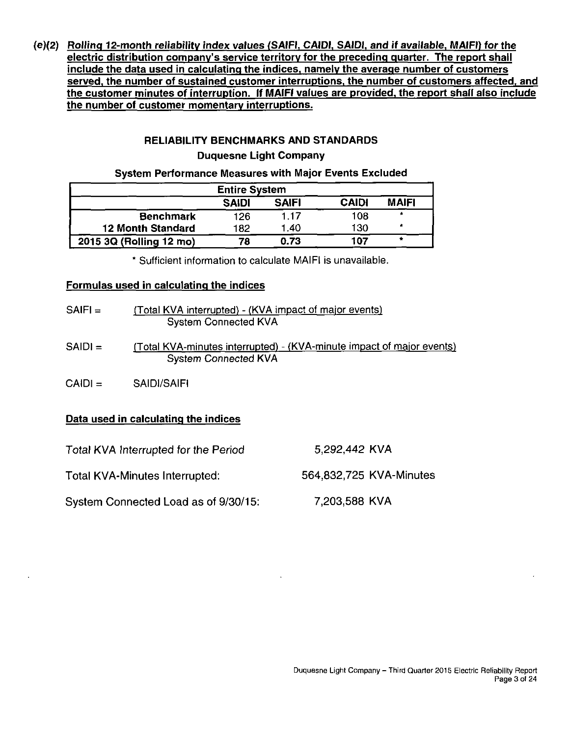**<e)(2) Rolling 12-month reliabilitv index values (SAIFI, CAIDI. SAIDI. and if available, MAIFI) for the electric distribution company's service territory for the preceding quarter. The report shall include the data used in calculating the indices, namely the average number of customers served, the number of sustained customer interruptions, the number of customers affected, and the customer minutes of interruption. If MAIFI values are provided, the report shall also include the number of customer momentary interruptions.** 

# **RELIABILITY BENCHMARKS AND STANDARDS Duquesne Light Company**

#### **System Performance Measures with Major Events Excluded**

| <b>Entire System</b>     |              |              |              |              |  |  |
|--------------------------|--------------|--------------|--------------|--------------|--|--|
|                          | <b>SAIDI</b> | <b>SAIFI</b> | <b>CAIDI</b> | <b>MAIFI</b> |  |  |
| <b>Benchmark</b>         | 126          | 1.17         | 108          | $\star$      |  |  |
| <b>12 Month Standard</b> | 182          | 1.40         | 130          | *            |  |  |
| 2015 3Q (Rolling 12 mo)  | 78           | 0.73         | 107          | ۰            |  |  |

Sufficient information to calculate MAIFI is unavailable.

#### **Formulas used in calculating the indices**

| $SAIF =$  | (Total KVA interrupted) - (KVA impact of major events)<br><b>System Connected KVA</b>                |
|-----------|------------------------------------------------------------------------------------------------------|
| $SAIDI =$ | (Total KVA-minutes interrupted) - (KVA-minute impact of major events)<br><b>System Connected KVA</b> |
| $CA D  =$ | SAIDI/SAIFI                                                                                          |

### **Data used in calculating the indices**

| Total KVA Interrupted for the Period | 5.292,442 KVA           |
|--------------------------------------|-------------------------|
| Total KVA-Minutes Interrupted:       | 564,832,725 KVA-Minutes |
| System Connected Load as of 9/30/15: | 7,203,588 KVA           |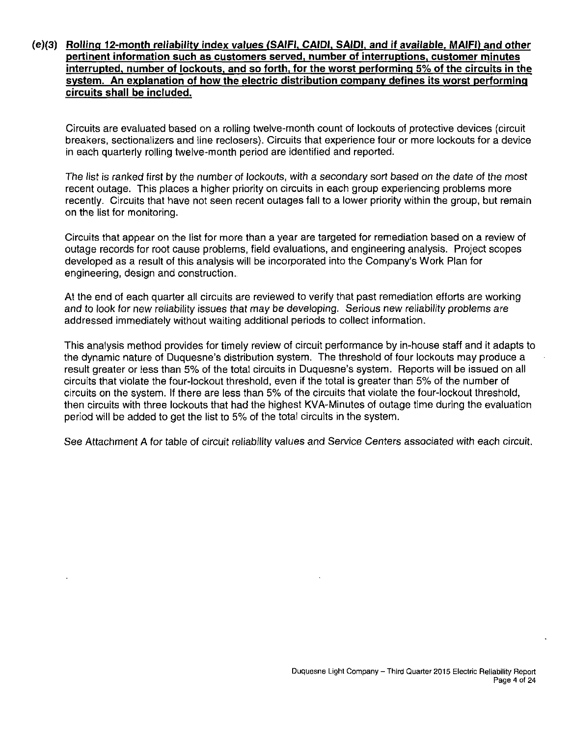#### **(e)(3) Rolling 12-month reliabilitv index values (SAIFI. CAIDI, SAIDI, and if available. MAIFI) and other pertinent information such as customers served, number of interruptions, customer minutes interrupted, number of lockouts, and so forth, for the worst performing 5% of the circuits in the system. An explanation of how the electric distribution companv defines its worst performing circuits shall be included.**

Circuits are evaluated based on a rolling twelve-month count of lockouts of protective devices (circuit breakers, sectionalizers and line reclosers). Circuits that experience four or more lockouts for a device in each quarterly rolling twelve-month period are identified and reported.

The list is ranked first by the number of lockouts, with a secondary sort based on the date of the most recent outage. This places a higher priority on circuits in each group experiencing problems more recently. Circuits that have not seen recent outages fall to a lower priority within the group, but remain on the list for monitoring.

Circuits that appear on the list for more than a year are targeted for remediation based on a review of outage records for root cause problems, field evaluations, and engineering analysis. Project scopes developed as a result of this analysis will be incorporated into the Company's Work Plan for engineering, design and construction.

At the end of each quarter all circuits are reviewed to verify that past remediation efforts are working and to look for new reliability issues that may be developing. Serious new reliability problems are addressed immediately without waiting additional periods to collect information.

This analysis method provides for timely review of circuit performance by in-house staff and it adapts to the dynamic nature of Duquesne's distribution system. The threshold of four lockouts may produce a result greater or less than 5% of the total circuits in Duquesne's system. Reports will be issued on all circuits that violate the four-lockout threshold, even if the total is greater than 5% of the number of circuits on the system. If there are less than 5% of the circuits that violate the four-lockout threshold, then circuits with three lockouts that had the highest KVA-Minutes of outage time during the evaluation period will be added to get the list to 5% of the total circuits in the system.

See Attachment A for table of circuit reliability values and Service Centers associated with each circuit.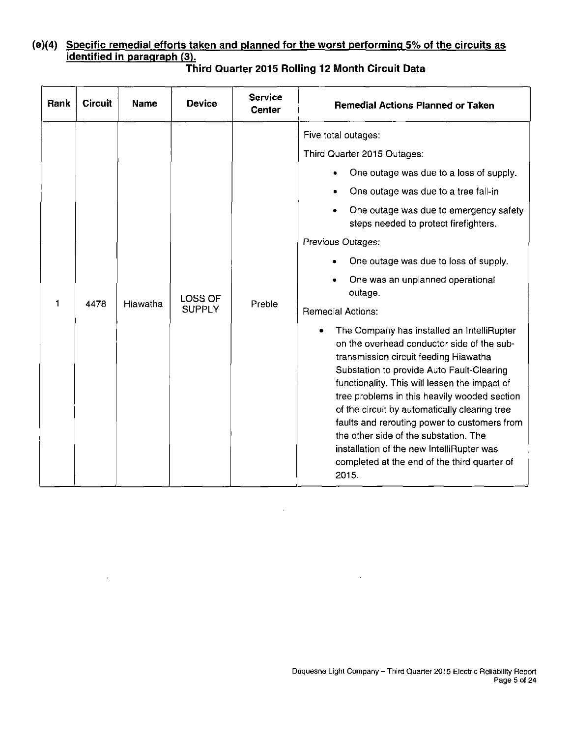# **(e)(4) Specific remedial efforts taken and planned for the worst performing 5% of the circuits as identified in paragraph (3).**

| <b>Rank</b> | <b>Circuit</b> | Name     | <b>Device</b>                   | <b>Service</b><br><b>Center</b> | <b>Remedial Actions Planned or Taken</b>                                                                                                                                                                                                                                                                                                                                                                                                                                                                                                                                                                                                                                                                                                                                                                                                                                                             |
|-------------|----------------|----------|---------------------------------|---------------------------------|------------------------------------------------------------------------------------------------------------------------------------------------------------------------------------------------------------------------------------------------------------------------------------------------------------------------------------------------------------------------------------------------------------------------------------------------------------------------------------------------------------------------------------------------------------------------------------------------------------------------------------------------------------------------------------------------------------------------------------------------------------------------------------------------------------------------------------------------------------------------------------------------------|
| 1           | 4478           | Hiawatha | <b>LOSS OF</b><br><b>SUPPLY</b> | Preble                          | Five total outages:<br>Third Quarter 2015 Outages:<br>One outage was due to a loss of supply.<br>One outage was due to a tree fall-in<br>One outage was due to emergency safety<br>steps needed to protect firefighters.<br>Previous Outages:<br>One outage was due to loss of supply.<br>One was an unplanned operational<br>outage.<br><b>Remedial Actions:</b><br>The Company has installed an IntelliRupter<br>on the overhead conductor side of the sub-<br>transmission circuit feeding Hiawatha<br>Substation to provide Auto Fault-Clearing<br>functionality. This will lessen the impact of<br>tree problems in this heavily wooded section<br>of the circuit by automatically clearing tree<br>faults and rerouting power to customers from<br>the other side of the substation. The<br>installation of the new IntelliRupter was<br>completed at the end of the third quarter of<br>2015. |

 $\Delta \sim 10^4$ 

 $\ddot{\phantom{a}}$ 

# **Third Quarter 2015 Rolling 12 Month Circuit Data**

 $\Delta$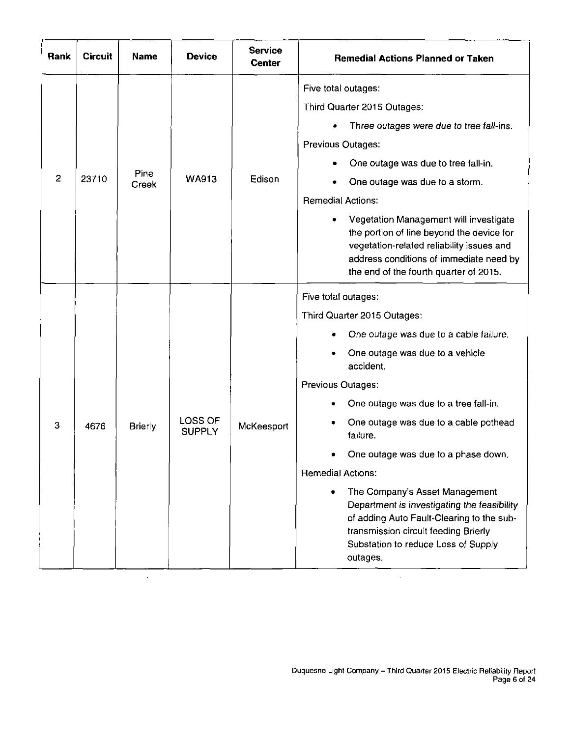| Rank           | <b>Circuit</b> | Name           | <b>Device</b>                   | <b>Service</b><br>Center | <b>Remedial Actions Planned or Taken</b>                                                                                                                                                                                                                                                                                                                                                                                                                                                                                                                         |
|----------------|----------------|----------------|---------------------------------|--------------------------|------------------------------------------------------------------------------------------------------------------------------------------------------------------------------------------------------------------------------------------------------------------------------------------------------------------------------------------------------------------------------------------------------------------------------------------------------------------------------------------------------------------------------------------------------------------|
| $\overline{c}$ | 23710          | Pine<br>Creek  | <b>WA913</b>                    | Edison                   | Five total outages:<br>Third Quarter 2015 Outages:<br>Three outages were due to tree fall-ins.<br>Previous Outages:<br>One outage was due to tree fall-in.<br>One outage was due to a storm.<br><b>Remedial Actions:</b><br>Vegetation Management will investigate<br>the portion of line beyond the device for<br>vegetation-related reliability issues and<br>address conditions of immediate need by<br>the end of the fourth quarter of 2015.                                                                                                                |
| 3              | 4676           | <b>Brierly</b> | <b>LOSS OF</b><br><b>SUPPLY</b> | McKeesport               | Five total outages:<br>Third Quarter 2015 Outages:<br>One outage was due to a cable failure.<br>One outage was due to a vehicle<br>accident.<br>Previous Outages:<br>One outage was due to a tree fall-in.<br>One outage was due to a cable pothead<br>failure.<br>One outage was due to a phase down.<br><b>Remedial Actions:</b><br>The Company's Asset Management<br>۰<br>Department is investigating the feasibility<br>of adding Auto Fault-Clearing to the sub-<br>transmission circuit feeding Brierly<br>Substation to reduce Loss of Supply<br>outages. |

 $\hat{\mathbf{r}}$ 

 $\ddot{\phantom{0}}$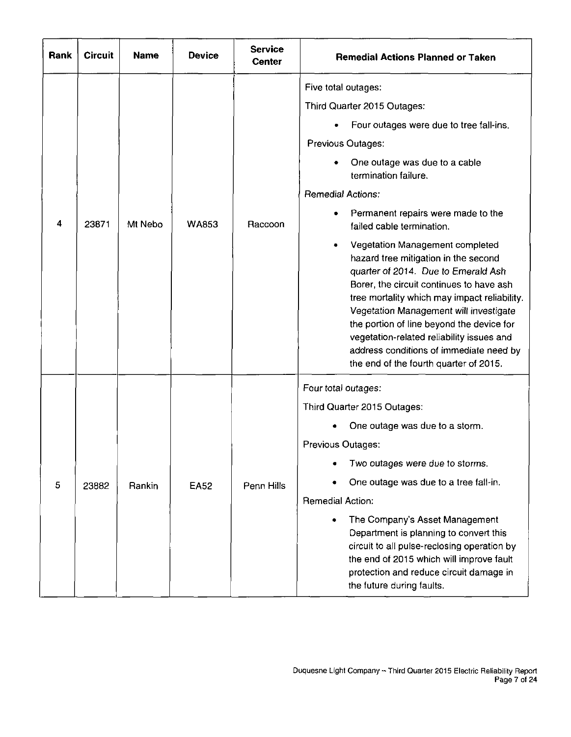| Rank | <b>Circuit</b> | <b>Name</b> | <b>Device</b> | <b>Service</b><br><b>Center</b> | <b>Remedial Actions Planned or Taken</b>                                                                                                                                                                                                                                                                                                                                                                                                                                                                                                                                                                                                                                                                          |
|------|----------------|-------------|---------------|---------------------------------|-------------------------------------------------------------------------------------------------------------------------------------------------------------------------------------------------------------------------------------------------------------------------------------------------------------------------------------------------------------------------------------------------------------------------------------------------------------------------------------------------------------------------------------------------------------------------------------------------------------------------------------------------------------------------------------------------------------------|
| 4    | 23871          | Mt Nebo     | <b>WA853</b>  | Raccoon                         | Five total outages:<br>Third Quarter 2015 Outages:<br>Four outages were due to tree fall-ins.<br>Previous Outages:<br>One outage was due to a cable<br>termination failure.<br><b>Remedial Actions:</b><br>Permanent repairs were made to the<br>failed cable termination.<br>Vegetation Management completed<br>hazard tree mitigation in the second<br>quarter of 2014. Due to Emerald Ash<br>Borer, the circuit continues to have ash<br>tree mortality which may impact reliability.<br>Vegetation Management will investigate<br>the portion of line beyond the device for<br>vegetation-related reliability issues and<br>address conditions of immediate need by<br>the end of the fourth quarter of 2015. |
| 5    | 23882          | Rankin      | <b>EA52</b>   | Penn Hills                      | Four total outages:<br>Third Quarter 2015 Outages:<br>One outage was due to a storm.<br>Previous Outages:<br>Two outages were due to storms.<br>One outage was due to a tree fall-in.<br>Remedial Action:<br>The Company's Asset Management<br>Department is planning to convert this<br>circuit to all pulse-reclosing operation by<br>the end of 2015 which will improve fault<br>protection and reduce circuit damage in<br>the future during faults.                                                                                                                                                                                                                                                          |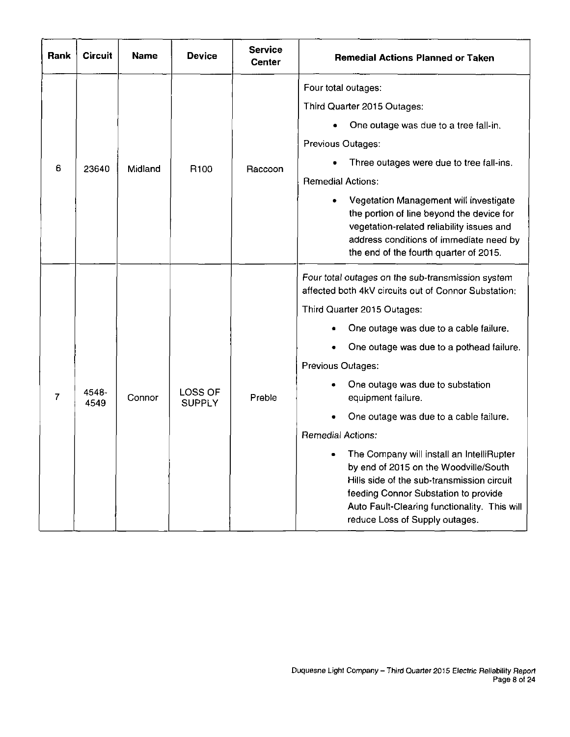| Rank | <b>Circuit</b> | <b>Name</b> | <b>Device</b>            | <b>Service</b><br>Center | <b>Remedial Actions Planned or Taken</b>                                                                                                                                                                                                                                                                                                                                                                                                                                                                                                                                                                                                          |
|------|----------------|-------------|--------------------------|--------------------------|---------------------------------------------------------------------------------------------------------------------------------------------------------------------------------------------------------------------------------------------------------------------------------------------------------------------------------------------------------------------------------------------------------------------------------------------------------------------------------------------------------------------------------------------------------------------------------------------------------------------------------------------------|
| 6    | 23640          | Midland     | R <sub>100</sub>         | Raccoon                  | Four total outages:<br>Third Quarter 2015 Outages:<br>One outage was due to a tree fall-in.<br>Previous Outages:<br>Three outages were due to tree fall-ins.<br><b>Remedial Actions:</b><br>Vegetation Management will investigate<br>the portion of line beyond the device for<br>vegetation-related reliability issues and<br>address conditions of immediate need by<br>the end of the fourth quarter of 2015.                                                                                                                                                                                                                                 |
| 7    | 4548-<br>4549  | Connor      | LOSS OF<br><b>SUPPLY</b> | Preble                   | Four total outages on the sub-transmission system<br>affected both 4kV circuits out of Connor Substation;<br>Third Quarter 2015 Outages:<br>One outage was due to a cable failure.<br>One outage was due to a pothead failure.<br>Previous Outages:<br>One outage was due to substation<br>equipment failure.<br>One outage was due to a cable failure.<br><b>Remedial Actions:</b><br>The Company will install an IntelliRupter<br>by end of 2015 on the Woodville/South<br>Hills side of the sub-transmission circuit<br>feeding Connor Substation to provide<br>Auto Fault-Clearing functionality. This will<br>reduce Loss of Supply outages. |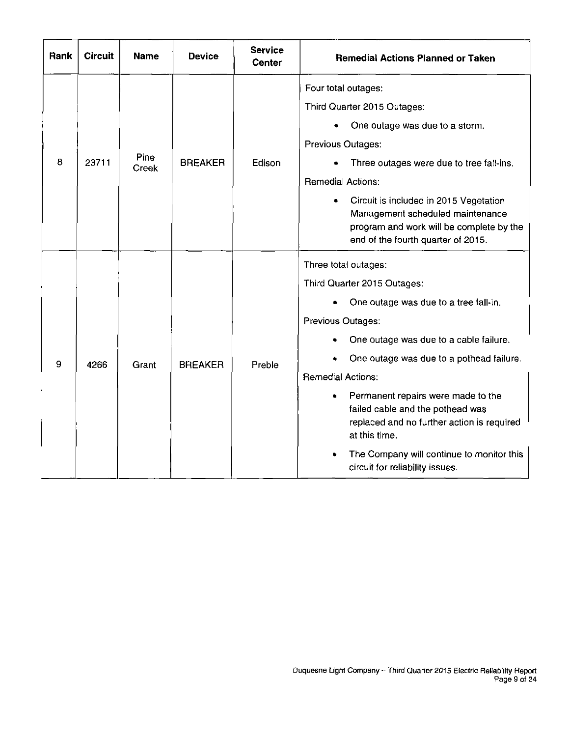| Rank | <b>Circuit</b> | <b>Name</b>   | <b>Device</b>  | <b>Service</b><br><b>Center</b> | <b>Remedial Actions Planned or Taken</b>                                                                                                                                                                                                                                                                                                                                                                                                                     |
|------|----------------|---------------|----------------|---------------------------------|--------------------------------------------------------------------------------------------------------------------------------------------------------------------------------------------------------------------------------------------------------------------------------------------------------------------------------------------------------------------------------------------------------------------------------------------------------------|
| 8    | 23711          | Pine<br>Creek | <b>BREAKER</b> | Edison                          | Four total outages:<br>Third Quarter 2015 Outages:<br>One outage was due to a storm.<br><b>Previous Outages:</b><br>Three outages were due to tree fall-ins.<br>Remedial Actions:<br>Circuit is included in 2015 Vegetation<br>Management scheduled maintenance<br>program and work will be complete by the<br>end of the fourth quarter of 2015.                                                                                                            |
| 9    | 4266           | Grant         | <b>BREAKER</b> | Preble                          | Three total outages:<br>Third Quarter 2015 Outages:<br>One outage was due to a tree fall-in.<br>Previous Outages:<br>One outage was due to a cable failure.<br>One outage was due to a pothead failure.<br><b>Remedial Actions:</b><br>Permanent repairs were made to the<br>failed cable and the pothead was<br>replaced and no further action is required<br>at this time.<br>The Company will continue to monitor this<br>circuit for reliability issues. |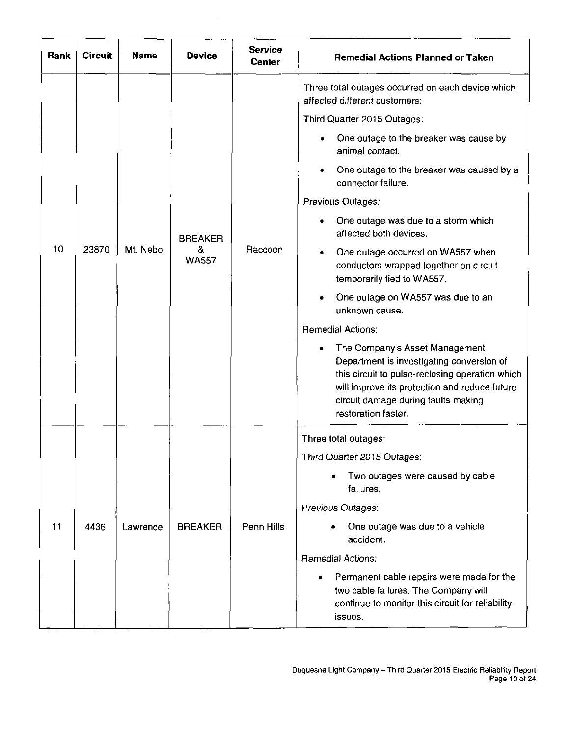| Rank | <b>Circuit</b> | <b>Name</b> | <b>Device</b>     | <b>Service</b><br>Center | <b>Remedial Actions Planned or Taken</b>                                                                                                                      |
|------|----------------|-------------|-------------------|--------------------------|---------------------------------------------------------------------------------------------------------------------------------------------------------------|
|      |                |             |                   |                          | Three total outages occurred on each device which<br>affected different customers:                                                                            |
|      |                |             |                   |                          | Third Quarter 2015 Outages:                                                                                                                                   |
|      |                |             |                   |                          | One outage to the breaker was cause by<br>animal contact.                                                                                                     |
|      |                |             |                   |                          | One outage to the breaker was caused by a<br>connector failure.                                                                                               |
|      |                |             |                   |                          | Previous Outages:                                                                                                                                             |
|      |                |             | <b>BREAKER</b>    |                          | One outage was due to a storm which<br>affected both devices.                                                                                                 |
| 10   | 23870          | Mt. Nebo    | &<br><b>WA557</b> | Raccoon                  | One outage occurred on WA557 when<br>٠<br>conductors wrapped together on circuit<br>temporarily tied to WA557.                                                |
|      |                |             |                   |                          | One outage on WA557 was due to an<br>unknown cause.                                                                                                           |
|      |                |             |                   |                          | <b>Remedial Actions:</b>                                                                                                                                      |
|      |                |             |                   |                          |                                                                                                                                                               |
|      |                |             |                   |                          | Three total outages:                                                                                                                                          |
|      |                |             |                   |                          | Third Quarter 2015 Outages:                                                                                                                                   |
|      |                |             |                   |                          | Two outages were caused by cable<br>failures.                                                                                                                 |
|      |                |             |                   |                          | Previous Outages:                                                                                                                                             |
| 11   | 4436           | Lawrence    | <b>BREAKER</b>    | Penn Hills               | One outage was due to a vehicle<br>accident.                                                                                                                  |
|      |                |             |                   |                          | <b>Remedial Actions:</b>                                                                                                                                      |
|      |                |             |                   |                          | Permanent cable repairs were made for the<br>$\bullet$<br>two cable failures. The Company will<br>continue to monitor this circuit for reliability<br>issues. |

 $\bar{z}$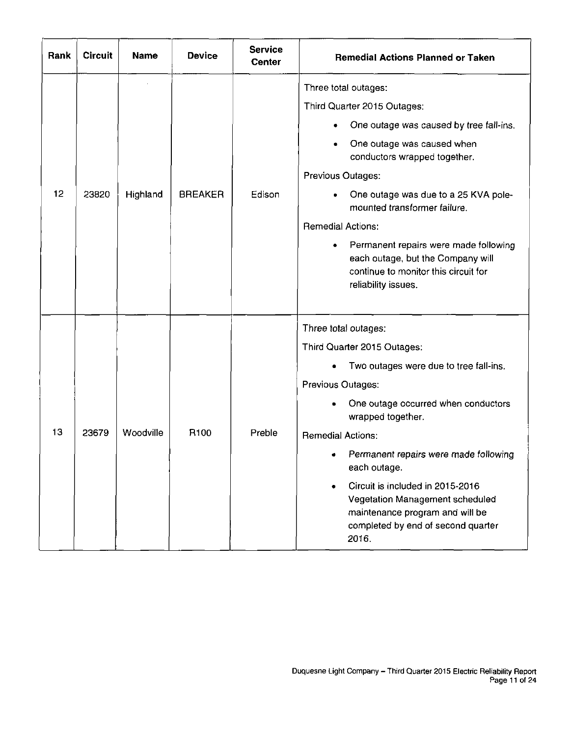| Rank | <b>Circuit</b> | <b>Name</b> | <b>Device</b>    | <b>Service</b><br><b>Center</b> | <b>Remedial Actions Planned or Taken</b>                                                                                                                                                                                                                                                                                                                                                                                                |
|------|----------------|-------------|------------------|---------------------------------|-----------------------------------------------------------------------------------------------------------------------------------------------------------------------------------------------------------------------------------------------------------------------------------------------------------------------------------------------------------------------------------------------------------------------------------------|
| 12   | 23820          | Highland    | <b>BREAKER</b>   | Edison                          | Three total outages:<br>Third Quarter 2015 Outages:<br>One outage was caused by tree fall-ins.<br>One outage was caused when<br>conductors wrapped together.<br>Previous Outages:<br>One outage was due to a 25 KVA pole-<br>mounted transformer failure.<br><b>Remedial Actions:</b><br>Permanent repairs were made following<br>٠<br>each outage, but the Company will<br>continue to monitor this circuit for<br>reliability issues. |
| 13   | 23679          | Woodville   | R <sub>100</sub> | Preble                          | Three total outages:<br>Third Quarter 2015 Outages:<br>Two outages were due to tree fall-ins.<br>Previous Outages:<br>One outage occurred when conductors<br>wrapped together.<br><b>Remedial Actions:</b><br>Permanent repairs were made following<br>each outage.<br>Circuit is included in 2015-2016<br>Vegetation Management scheduled<br>maintenance program and will be<br>completed by end of second quarter<br>2016.            |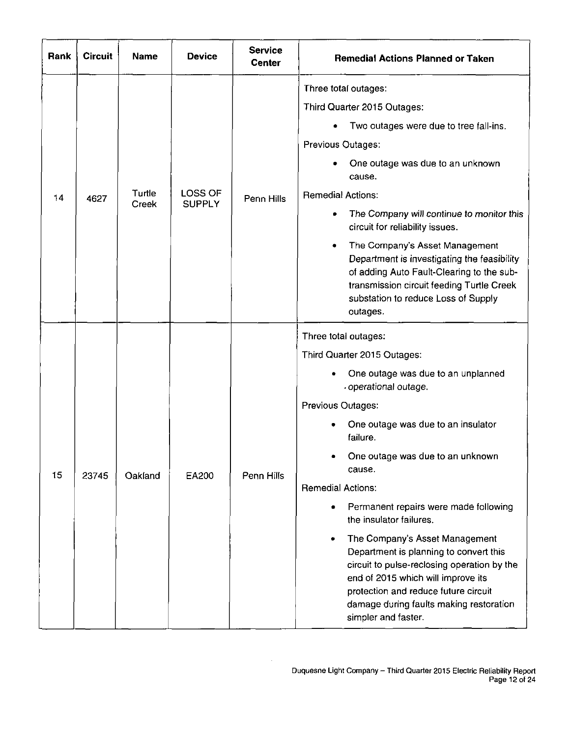| Rank | <b>Circuit</b> | <b>Name</b>     | <b>Device</b>            | <b>Service</b><br><b>Center</b> | <b>Remedial Actions Planned or Taken</b>                                                                                                                                                                                                                                                                                                                                                                                                                                                                                                                                                                                           |
|------|----------------|-----------------|--------------------------|---------------------------------|------------------------------------------------------------------------------------------------------------------------------------------------------------------------------------------------------------------------------------------------------------------------------------------------------------------------------------------------------------------------------------------------------------------------------------------------------------------------------------------------------------------------------------------------------------------------------------------------------------------------------------|
| 14   | 4627           | Turtle<br>Creek | LOSS OF<br><b>SUPPLY</b> | Penn Hills                      | Three total outages:<br>Third Quarter 2015 Outages:<br>Two outages were due to tree fall-ins.<br>Previous Outages:<br>One outage was due to an unknown<br>cause.<br><b>Remedial Actions:</b><br>The Company will continue to monitor this<br>۰<br>circuit for reliability issues.<br>The Company's Asset Management<br>٠<br>Department is investigating the feasibility<br>of adding Auto Fault-Clearing to the sub-<br>transmission circuit feeding Turtle Creek<br>substation to reduce Loss of Supply<br>outages.                                                                                                               |
| 15   | 23745          | Oakland         | EA200                    | Penn Hills                      | Three total outages:<br>Third Quarter 2015 Outages:<br>One outage was due to an unplanned<br>operational outage.<br>Previous Outages:<br>One outage was due to an insulator<br>failure.<br>One outage was due to an unknown<br>cause.<br><b>Remedial Actions:</b><br>Permanent repairs were made following<br>$\bullet$<br>the insulator failures.<br>The Company's Asset Management<br>٠<br>Department is planning to convert this<br>circuit to pulse-reclosing operation by the<br>end of 2015 which will improve its<br>protection and reduce future circuit<br>damage during faults making restoration<br>simpler and faster. |

 $\bar{z}$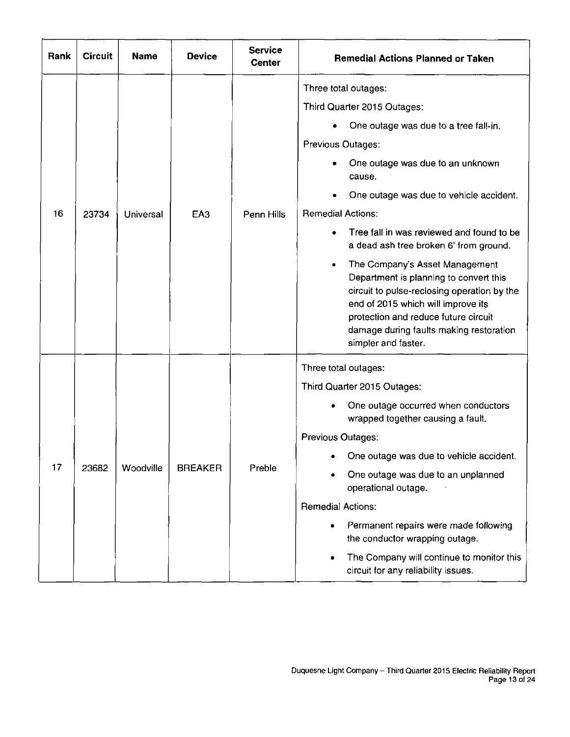| Rank | <b>Circuit</b> | <b>Name</b> | <b>Device</b>   | <b>Service</b><br><b>Center</b> | <b>Remedial Actions Planned or Taken</b>                                                                                                                                                                                                                                                                                                                                                                                                                                                                                                                                                                 |
|------|----------------|-------------|-----------------|---------------------------------|----------------------------------------------------------------------------------------------------------------------------------------------------------------------------------------------------------------------------------------------------------------------------------------------------------------------------------------------------------------------------------------------------------------------------------------------------------------------------------------------------------------------------------------------------------------------------------------------------------|
| 16   | 23734          | Universal   | EA <sub>3</sub> | Penn Hills                      | Three total outages:<br>Third Quarter 2015 Outages:<br>One outage was due to a tree fall-in.<br>Previous Outages:<br>One outage was due to an unknown<br>cause.<br>One outage was due to vehicle accident.<br><b>Remedial Actions:</b><br>Tree fall in was reviewed and found to be<br>a dead ash tree broken 6' from ground.<br>The Company's Asset Management<br>Department is planning to convert this<br>circuit to pulse-reclosing operation by the<br>end of 2015 which will improve its<br>protection and reduce future circuit<br>damage during faults making restoration<br>simpler and faster. |
| 17   | 23682          | Woodville   | <b>BREAKER</b>  | Preble                          | Three total outages:<br>Third Quarter 2015 Outages:<br>One outage occurred when conductors<br>wrapped together causing a fault.<br>Previous Outages:<br>One outage was due to vehicle accident.<br>One outage was due to an unplanned<br>operational outage.<br><b>Remedial Actions:</b><br>Permanent repairs were made following<br>$\bullet$<br>the conductor wrapping outage.<br>The Company will continue to monitor this<br>$\bullet$<br>circuit for any reliability issues.                                                                                                                        |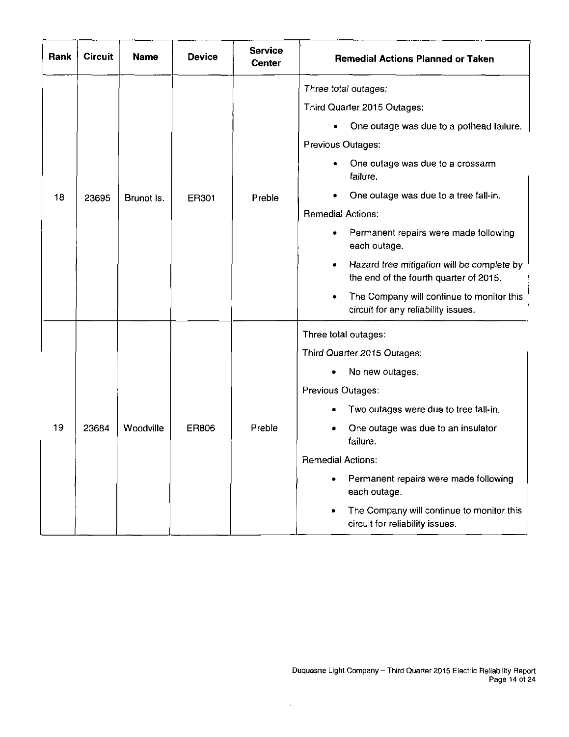| Rank | <b>Circuit</b> | <b>Name</b> | <b>Device</b> | <b>Service</b><br><b>Center</b> | <b>Remedial Actions Planned or Taken</b>                                                                                                                                                                                                                                                                                                                                                                                                                                            |
|------|----------------|-------------|---------------|---------------------------------|-------------------------------------------------------------------------------------------------------------------------------------------------------------------------------------------------------------------------------------------------------------------------------------------------------------------------------------------------------------------------------------------------------------------------------------------------------------------------------------|
| 18   | 23695          | Brunot Is.  | ER301         | Preble                          | Three total outages:<br>Third Quarter 2015 Outages:<br>One outage was due to a pothead failure.<br>Previous Outages:<br>One outage was due to a crossarm<br>failure.<br>One outage was due to a tree fall-in.<br><b>Remedial Actions:</b><br>Permanent repairs were made following<br>each outage.<br>Hazard tree mitigation will be complete by<br>٠<br>the end of the fourth quarter of 2015.<br>The Company will continue to monitor this<br>circuit for any reliability issues. |
| 19   | 23684          | Woodville   | ER806         | Preble                          | Three total outages:<br>Third Quarter 2015 Outages:<br>No new outages.<br>Previous Outages:<br>Two outages were due to tree fall-in.<br>One outage was due to an insulator<br>failure.<br><b>Remedial Actions:</b><br>Permanent repairs were made following<br>٠<br>each outage.<br>The Company will continue to monitor this<br>٠<br>circuit for reliability issues.                                                                                                               |

 $\hat{\mathcal{L}}$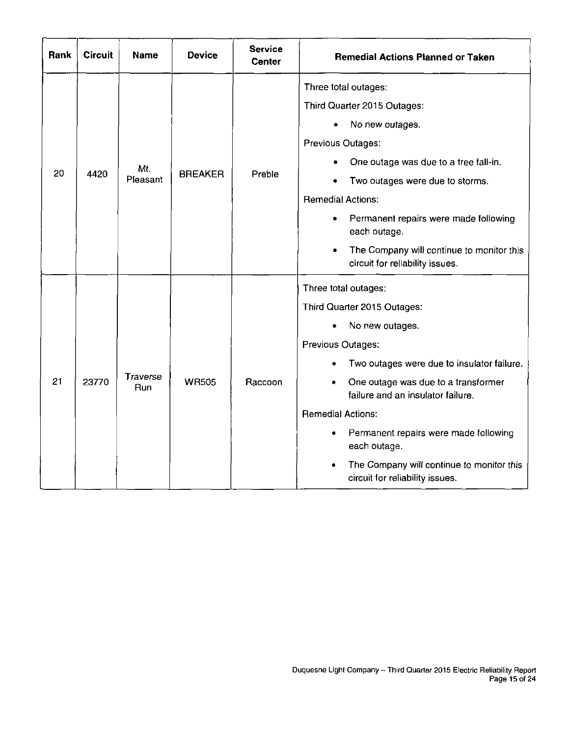| Rank | <b>Circuit</b> | <b>Name</b>     | <b>Device</b>  | <b>Service</b><br><b>Center</b> | <b>Remedial Actions Planned or Taken</b>                                                                                                                                                                                                                                                                                                                                                        |
|------|----------------|-----------------|----------------|---------------------------------|-------------------------------------------------------------------------------------------------------------------------------------------------------------------------------------------------------------------------------------------------------------------------------------------------------------------------------------------------------------------------------------------------|
| 20   | 4420           | Mt.<br>Pleasant | <b>BREAKER</b> | Preble                          | Three total outages:<br>Third Quarter 2015 Outages:<br>No new outages.<br>Previous Outages:<br>One outage was due to a tree fall-in.<br>Two outages were due to storms.<br><b>Remedial Actions:</b><br>Permanent repairs were made following<br>٠<br>each outage.<br>The Company will continue to monitor this<br>circuit for reliability issues.                                               |
| 21   | 23770          | Traverse<br>Run | <b>WR505</b>   | Raccoon                         | Three total outages:<br>Third Quarter 2015 Outages:<br>No new outages.<br>Previous Outages:<br>Two outages were due to insulator failure.<br>One outage was due to a transformer<br>failure and an insulator failure.<br><b>Remedial Actions:</b><br>Permanent repairs were made following<br>٠<br>each outage.<br>The Company will continue to monitor this<br>circuit for reliability issues. |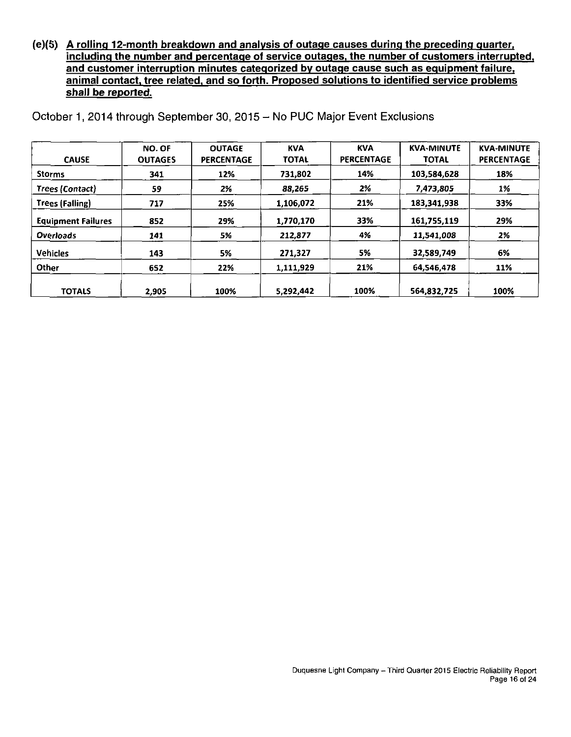**(e)(5) A rolling 12-month breakdown and analysis of outage causes during the preceding quarter. including the number and percentage of service outages, the number of customers interrupted, and customer interruption minutes categorized bv outage cause such as equipment failure, animal contact, tree related, and so forth. Proposed solutions to identified service problems shall be reported.** 

| <b>CAUSE</b>              | NO. OF<br><b>OUTAGES</b> | <b>OUTAGE</b><br><b>PERCENTAGE</b> | <b>KVA</b><br><b>TOTAL</b> | <b>KVA</b><br><b>PERCENTAGE</b> | <b>KVA-MINUTE</b><br><b>TOTAL</b> | <b>KVA-MINUTE</b><br><b>PERCENTAGE</b> |
|---------------------------|--------------------------|------------------------------------|----------------------------|---------------------------------|-----------------------------------|----------------------------------------|
| <b>Storms</b>             | 341                      | 12%                                | 731.802                    | 14%                             | 103,584,628                       | 18%                                    |
| Trees (Contact)           | 59                       | 2%                                 | 88.265                     | 2%                              | 7,473,805                         | 1%                                     |
| Trees (Falling)           | 717                      | 25%                                | 1.106.072                  | 21%                             | 183,341,938                       | 33%                                    |
| <b>Equipment Failures</b> | 852                      | 29%                                | 1.770.170                  | 33%                             | 161,755,119                       | 29%                                    |
| <b>Overloads</b>          | 141                      | 5%                                 | 212,877                    | 4%                              | 11,541,008                        | 2%                                     |
| <b>Vehicles</b>           | 143                      | 5%                                 | 271,327                    | 5%                              | 32,589,749                        | 6%                                     |
| Other                     | 652                      | 22%                                | 1,111,929                  | 21%                             | 64,546,478                        | 11%                                    |
| <b>TOTALS</b>             | 2,905                    | 100%                               | 5.292.442                  | 100%                            | 564.832.725                       | 100%                                   |

October 1, 2014 through September 30, 2015 - No PUC Major Event Exclusions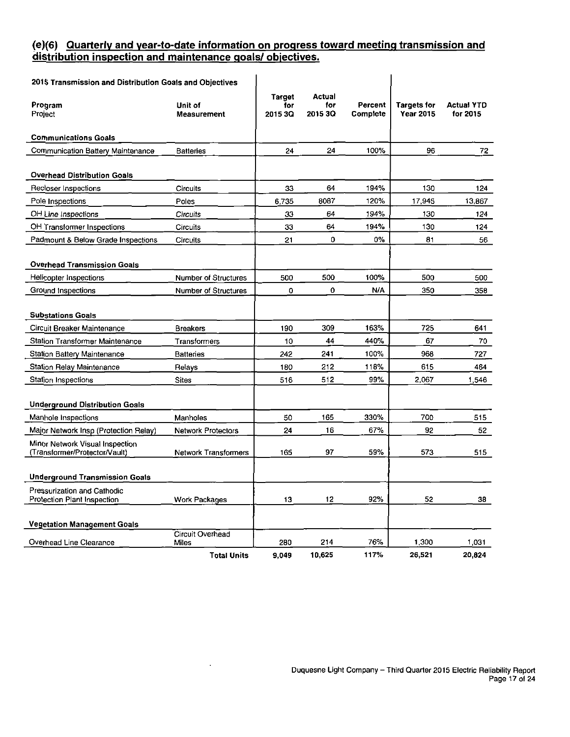#### **(e)(6) Quarterly and vear-to-date information on progress toward meeting transmission and distribution inspection and maintenance goals/ objectives.**

| 2015 Transmission and Distribution Goals and Objectives           |                                  |                                 |                          |                     |                                        |                               |
|-------------------------------------------------------------------|----------------------------------|---------------------------------|--------------------------|---------------------|----------------------------------------|-------------------------------|
| Program<br>Project                                                | Unit of<br>Measurement           | <b>Target</b><br>for<br>2015 3Q | Actual<br>for<br>2015 3Q | Percent<br>Complete | <b>Targets for</b><br><b>Year 2015</b> | <b>Actual YTD</b><br>for 2015 |
| <b>Communications Goals</b>                                       |                                  |                                 |                          |                     |                                        |                               |
| Communication Battery Maintenance                                 | <b>Batteries</b>                 | 24                              | 24                       | 100%                | 96                                     | 72                            |
| <b>Overhead Distribution Goals</b>                                |                                  |                                 |                          |                     |                                        |                               |
| Recloser Inspections                                              | Circuits                         | 33                              | 64                       | 194%                | 130                                    | 124                           |
| Pole Inspections                                                  | Poles                            | 6735                            | 8087                     | 120%                | 17,945                                 | 13,867                        |
| OH Line Inspections                                               | Circuits                         | 33                              | 64                       | 194%                | 130                                    | 124                           |
| OH Transformer Inspections                                        | Circuits                         | 33                              | 64                       | 194%                | 130                                    | 124                           |
| Padmount & Below Grade Inspections                                | Circuits                         | 21                              | $\mathbf 0$              | $0\%$               | 81                                     | 56                            |
| <b>Overhead Transmission Goals</b>                                |                                  |                                 |                          |                     |                                        |                               |
| Helicopter Inspections                                            | <b>Number of Structures</b>      | 500                             | 500                      | 100%                | 500                                    | 500                           |
| Ground Inspections                                                | <b>Number of Structures</b>      | 0                               | 0                        | N/A                 | 350                                    | 358                           |
| <b>Substations Goals</b>                                          |                                  |                                 |                          |                     |                                        |                               |
| Circuit Breaker Maintenance                                       | <b>Breakers</b>                  | 190                             | 309                      | 163%                | 725                                    | 641                           |
| Station Transformer Maintenance                                   | Transformers                     | 10                              | 44                       | 440%                | 67                                     | 70                            |
| <b>Station Battery Maintenance</b>                                | <b>Batteries</b>                 | 242                             | 241                      | 100%                | 968                                    | 727                           |
| <b>Station Relay Maintenance</b>                                  | Relays                           | 180                             | 212                      | 118%                | 615                                    | 464                           |
| Station Inspections                                               | <b>Sites</b>                     | 516                             | 512                      | 99%                 | 2,067                                  | 1,546                         |
| <b>Underground Distribution Goals</b>                             |                                  |                                 |                          |                     |                                        |                               |
| Manhole Inspections                                               | Manholes                         | 50                              | 165                      | 330%                | 700                                    | 515                           |
| Major Network Insp (Protection Relay)                             | <b>Network Protectors</b>        | 24                              | 16                       | 67%                 | 92                                     | 52                            |
| Minor Network Visual Inspection<br>(Transformer/Protector/Vault)  | <b>Network Transformers</b>      | 165                             | 97                       | 59%                 | 573                                    | 515                           |
| <b>Underground Transmission Goals</b>                             |                                  |                                 |                          |                     |                                        |                               |
| Pressurization and Cathodic<br><b>Protection Plant Inspection</b> | Work Packages                    | 13                              | 12                       | 92%                 | 52                                     | 38                            |
| <b>Vegetation Management Goals</b>                                |                                  |                                 |                          |                     |                                        |                               |
| Overhead Line Clearance                                           | Circuit Overhead<br><b>Miles</b> | 280                             | 214                      | 76%                 | 1,300                                  | 1,031                         |
|                                                                   | <b>Total Units</b>               | 9.049                           | 10,625                   | 117%                | 26,521                                 | 20,824                        |

 $\sim$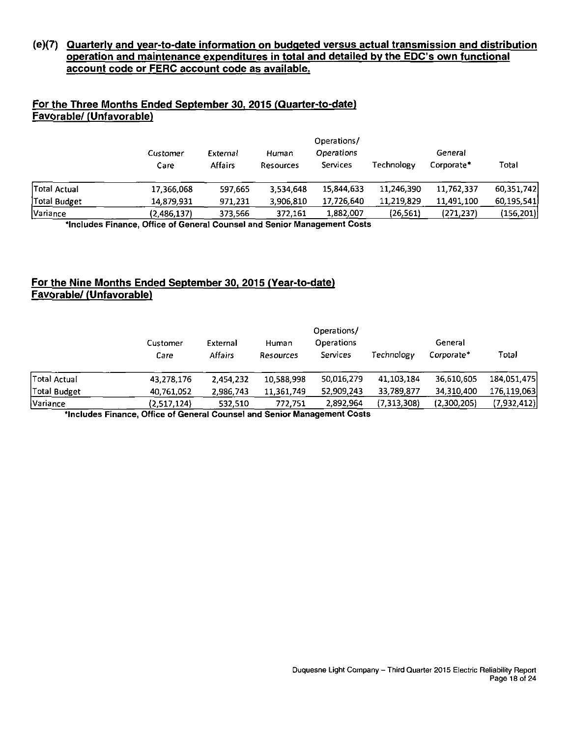#### **(e)(7) Quarterly and vear-to-date information on budgeted versus actual transmission and distribution operation and maintenance expenditures in total and detailed by the EDC's own functional account code or FERC account code as available.**

#### For the Three Months Ended September 30, 2015 (Quarter-to-date) **Favorable/ (Unfavorable)**

|              | Operations/ |                                                   |           |            |            |            |              |  |  |
|--------------|-------------|---------------------------------------------------|-----------|------------|------------|------------|--------------|--|--|
|              | Customer    | <b>Operations</b><br>General<br>External<br>Human |           |            |            |            |              |  |  |
|              | Care        | Affairs                                           | Resources | Services   | Technology | Corporate* | Total        |  |  |
| Total Actual | 17,366,068  | 597.665                                           | 3.534.648 | 15,844,633 | 11,246,390 | 11,762,337 | 60,351,742   |  |  |
| Total Budget | 14,879,931  | 971,231                                           | 3,906,810 | 17,726,640 | 11,219,829 | 11,491,100 | 60, 195, 541 |  |  |
| Variance     | (2,486,137) | 373,566                                           | 372,161   | 1,882,007  | (26, 561)  | (271, 237) | (156,201)    |  |  |

**'Includes Finance, Office of General Counsel and Senior Management Costs** 

#### **For the Nine Months Ended September 30, 2015 (Year-to-date) Favorable/ (Unfavorable)**

|              | Operations/      |                            |                    |                               |              |                       |             |  |  |
|--------------|------------------|----------------------------|--------------------|-------------------------------|--------------|-----------------------|-------------|--|--|
|              | Customer<br>Care | External<br><b>Affairs</b> | Human<br>Resources | <b>Operations</b><br>Services | Technology   | General<br>Corporate* | Total       |  |  |
| Total Actual | 43,278,176       | 2.454.232                  | 10,588,998         | 50,016,279                    | 41, 103, 184 | 36,610,605            | 184,051,475 |  |  |
| Total Budget | 40,761,052       | 2,986,743                  | 11,361,749         | 52,909,243                    | 33,789,877   | 34,310,400            | 176,119,063 |  |  |
| Variance     | (2,517,124)      | 532.510                    | 772,751            | 2,892,964                     | (7,313,308)  | (2,300,205)           | (7,932,412) |  |  |

**'Includes Finance, Office of General Counsel and Senior Management Costs**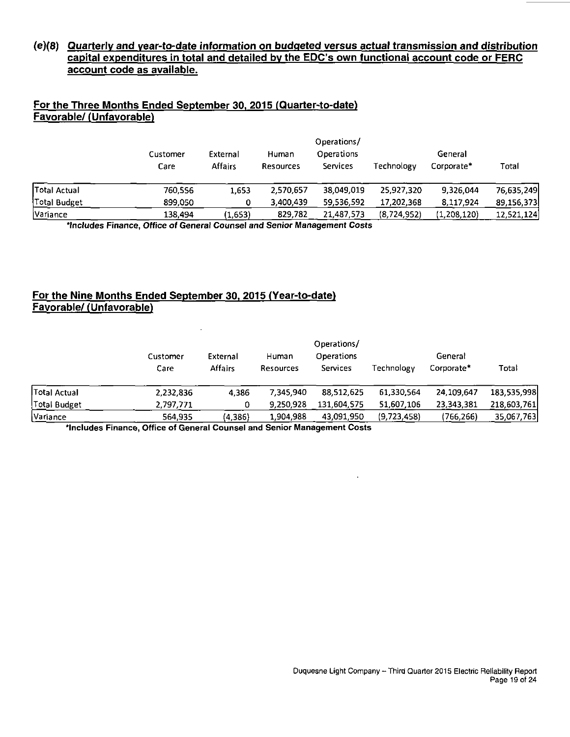#### **(e)(8) Quarterly and vear-to-date information on budgeted versus actual transmission and distribution capital expenditures in total and detailed bv the EDC's own functional account code or FERC account code as available.**

#### **For the Three Months Ended September 30. 2015 (Quarter-to-date) Favorable/ (Unfavorable)**

|                 | Operations/      |                     |                           |                        |                                     |             |            |  |  |
|-----------------|------------------|---------------------|---------------------------|------------------------|-------------------------------------|-------------|------------|--|--|
|                 | Customer<br>Care | External<br>Affairs | Human<br><b>Resources</b> | Operations<br>Services | General<br>Technology<br>Corporate* |             | Total      |  |  |
| Total Actual    | 760.556          | 1,653               | 2,570,657                 | 38,049.019             | 25,927,320                          | 9,326,044   | 76,635,249 |  |  |
| Total Budget    | 899,050          |                     | 3,400,439                 | 59,536,592             | 17,202,368                          | 8,117,924   | 89,156,373 |  |  |
| <b>Variance</b> | 138,494          | (1,653)             | 829,782                   | 21,487,573             | (8,724,952)                         | (1,208,120) | 12,521,124 |  |  |

'Includes Finance, Office of General Counsel and Senior Management Costs

#### **For the Nine Months Ended September 30. 2015 (Year-to-date) Favorable/ (Unfavorable)**

 $\ddot{\phantom{a}}$ 

|                     | Customer  | External       | Human            | Operations/<br>Operations |             | General    |             |
|---------------------|-----------|----------------|------------------|---------------------------|-------------|------------|-------------|
|                     | Care      | <b>Affairs</b> | <b>Resources</b> | Services                  | Technology  | Corporate* | Total       |
| <b>Total Actual</b> | 2.232.836 | 4,386          | 7.345.940        | 88.512.625                | 61,330,564  | 24,109,647 | 183,535,998 |
| Total Budget        | 2,797,771 |                | 9,250,928        | 131,604,575               | 51,607,106  | 23,343,381 | 218,603,761 |
| Variance            | 564,935   | (4,386)        | 1,904,988        | 43.091.950                | (9,723,458) | (766.266)  | 35,067,763  |

'Includes Finance, Office of General Counsel and Senior Management Costs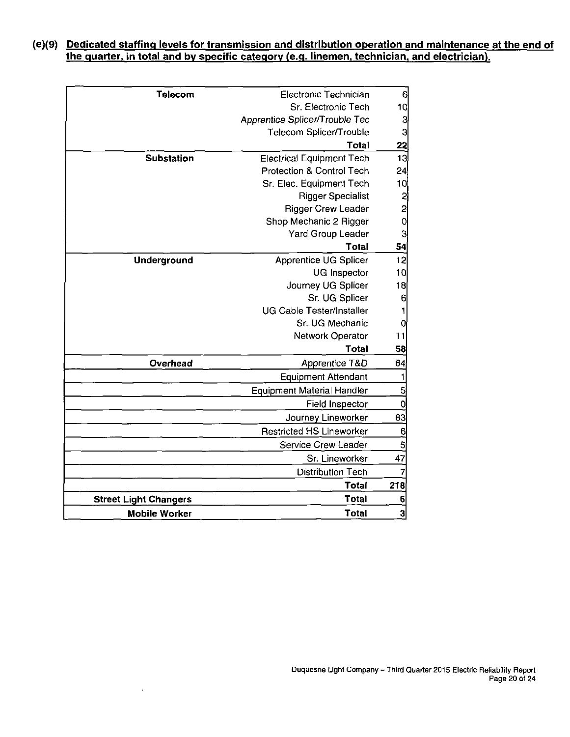#### **(e)(9) Dedicated staffing levels for transmission and distribution operation and maintenance at the end of the guarter, in total and by specific category (e.g. linemen, technician, and electrician).**

| 6               | Electronic Technician             | <b>Telecom</b>               |
|-----------------|-----------------------------------|------------------------------|
| 10              | Sr. Electronic Tech               |                              |
| دی دی           | Apprentice Splicer/Trouble Tec    |                              |
|                 | Telecom Splicer/Trouble           |                              |
| <u> 22</u>      | <b>Total</b>                      |                              |
| $\overline{13}$ | <b>Electrical Equipment Tech</b>  | <b>Substation</b>            |
| 24              | Protection & Control Tech         |                              |
| 10              | Sr. Elec. Equipment Tech          |                              |
|                 | <b>Rigger Specialist</b>          |                              |
| <u>מ מ</u> ס    | <b>Rigger Crew Leader</b>         |                              |
|                 | Shop Mechanic 2 Rigger            |                              |
| 3               | Yard Group Leader                 |                              |
| 54              | <b>Total</b>                      |                              |
| 12              | <b>Apprentice UG Splicer</b>      | <b>Underground</b>           |
| 10              | <b>UG Inspector</b>               |                              |
| 18              | Journey UG Splicer                |                              |
| 6               | Sr. UG Splicer                    |                              |
|                 | <b>UG Cable Tester/Installer</b>  |                              |
| 0               | Sr. UG Mechanic                   |                              |
| 11              | Network Operator                  |                              |
| 58              | <b>Total</b>                      |                              |
| 64              | Apprentice T&D                    | Overhead                     |
|                 | <b>Equipment Attendant</b>        |                              |
| 5               | <b>Equipment Material Handler</b> |                              |
| 0               | Field Inspector                   |                              |
| 83              | Journey Lineworker                |                              |
| 6               | <b>Restricted HS Lineworker</b>   |                              |
| 5               | Service Crew Leader               |                              |
| 47              | Sr. Lineworker                    |                              |
|                 | <b>Distribution Tech</b>          |                              |
| 218             | <b>Total</b>                      |                              |
| 6               | <b>Total</b>                      | <b>Street Light Changers</b> |
| 3               | <b>Total</b>                      | <b>Mobile Worker</b>         |
|                 |                                   |                              |

 $\mathcal{L}$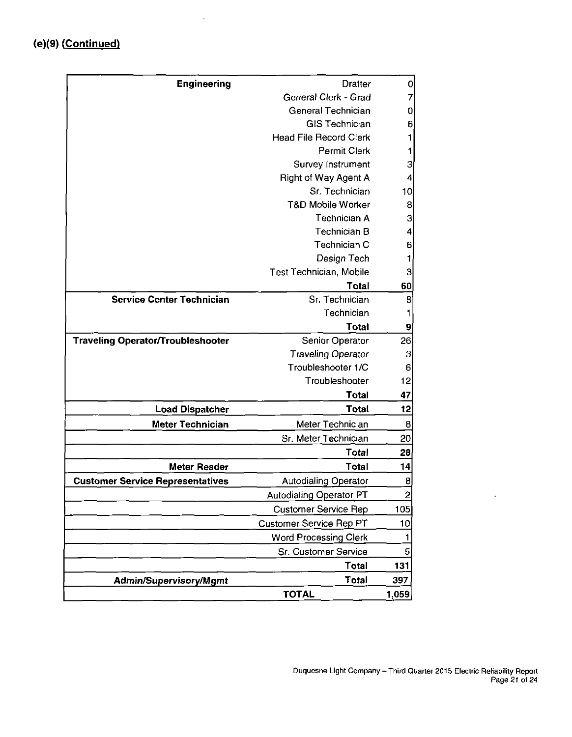| <b>Engineering</b>                       | <b>Drafter</b>                 | $\mathbf 0$    |
|------------------------------------------|--------------------------------|----------------|
|                                          | General Clerk - Grad           | 7              |
|                                          | <b>General Technician</b>      | 0              |
|                                          | <b>GIS Technician</b>          | 6              |
|                                          | <b>Head File Record Clerk</b>  | 1              |
|                                          | Permit Clerk                   | 1              |
|                                          | Survey Instrument              | 3              |
|                                          | Right of Way Agent A           | 4              |
|                                          | Sr. Technician                 | 10             |
|                                          | T&D Mobile Worker              | 8              |
|                                          | <b>Technician A</b>            | 3              |
|                                          | <b>Technician B</b>            | 4              |
|                                          | Technician C                   | 6              |
|                                          | Design Tech                    | 1              |
|                                          | Test Technician, Mobile        | з              |
|                                          | <b>Total</b>                   | 60             |
| <b>Service Center Technician</b>         | Sr. Technician                 | 8              |
|                                          | Technician                     |                |
|                                          | Total                          | 9              |
| <b>Traveling Operator/Troubleshooter</b> | Senior Operator                | 26             |
|                                          | <b>Traveling Operator</b>      | 3              |
|                                          | Troubleshooter 1/C             | 6              |
|                                          | Troubleshooter                 | 12             |
|                                          | Total                          | 47             |
| <b>Load Dispatcher</b>                   | <b>Total</b>                   | 12             |
| <b>Meter Technician</b>                  | Meter Technician               | 8              |
|                                          | Sr. Meter Technician           | 20             |
|                                          | Total                          | 28             |
| <b>Meter Reader</b>                      | <b>Total</b>                   | 14             |
| <b>Customer Service Representatives</b>  | <b>Autodialing Operator</b>    | 8              |
|                                          | <b>Autodialing Operator PT</b> | $\overline{2}$ |
|                                          | <b>Customer Service Rep</b>    | 105            |
|                                          | <b>Customer Service Rep PT</b> | 10             |
|                                          | <b>Word Processing Clerk</b>   |                |
|                                          | Sr. Customer Service           | 5              |
|                                          | Total                          | 131            |
| <b>Admin/Supervisory/Mgmt</b>            | Total                          | 397            |
|                                          | <b>TOTAL</b>                   | 1,059          |

 $\hat{\mathcal{A}}$ 

 $\ddot{\phantom{a}}$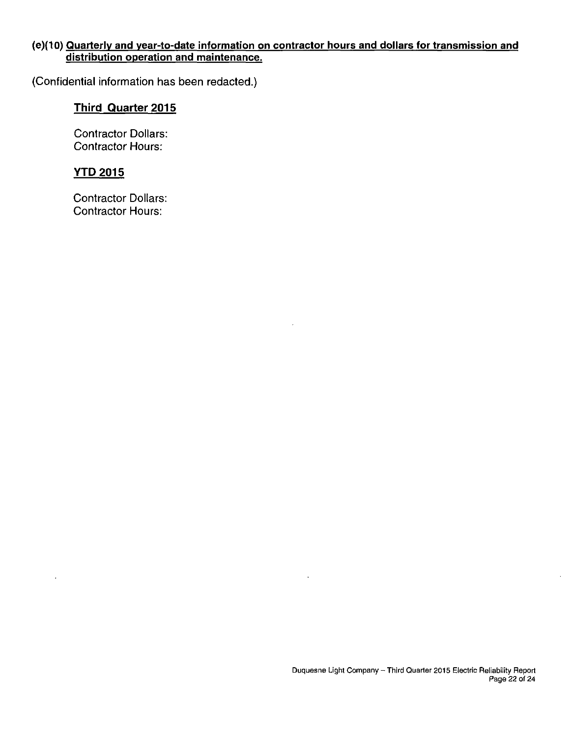#### **(e)(10) Quarterly and vear-to-date information on contractor hours and dollars for transmission and distribution operation and maintenance.**

 $\ddot{\phantom{a}}$ 

**(Confidential information has been redacted.)** 

# **Third Quarter 2015**

**Contractor Dollars: Contractor Hours:** 

# **YTD 2015**

 $\ddot{\phantom{a}}$ 

**Contractor Dollars: Contractor Hours:**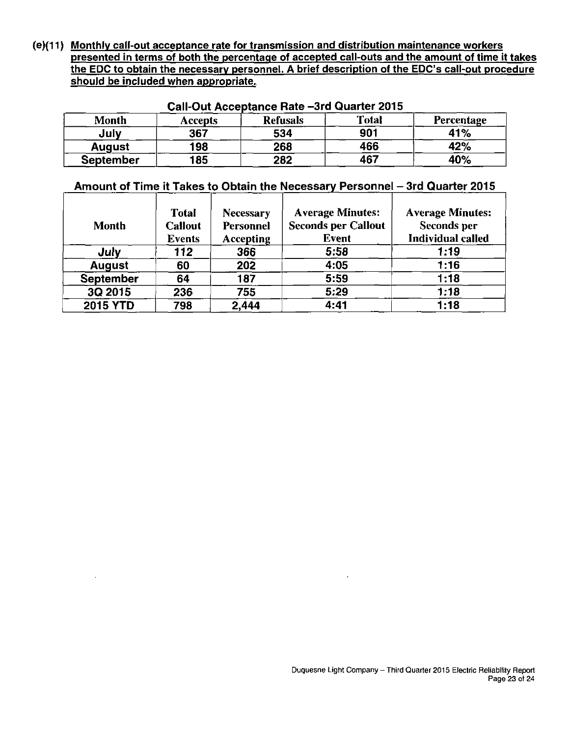**(e)(11) Monthly call-out acceptance rate for transmission and distribution maintenance workers presented in terms of both the percentage of accepted call-outs and the amount of time it takes the EDC to obtain the necessary personnel. A brief description of the EDC's call-out procedure should be included when appropriate.** 

| VUII VALITUVURRUHVU HURU VIII SAMIRUI LUTU |         |                 |              |                   |  |  |  |  |
|--------------------------------------------|---------|-----------------|--------------|-------------------|--|--|--|--|
| Month                                      | Accepts | <b>Refusals</b> | <b>Total</b> | <b>Percentage</b> |  |  |  |  |
| July                                       | 367     | 534             | 901          | 41%               |  |  |  |  |
| <b>August</b>                              | 198     | 268             | 466          | 42%               |  |  |  |  |
| <b>September</b>                           | 185     | 282             | 467          | 40%               |  |  |  |  |

#### **Call-Out Acceptance Rate -3rd Quarter 2015**

#### Amount of Time it Takes to Obtain the Necessary Personnel - 3rd Quarter 2015

| <b>Month</b>     | <b>T</b> otal<br><b>Callout</b><br><b>Events</b> | <b>Necessary</b><br>Personnel<br><b>Accepting</b> | <b>Average Minutes:</b><br><b>Seconds per Callout</b><br><b>Event</b> | <b>Average Minutes:</b><br><b>Seconds per</b><br><b>Individual called</b> |
|------------------|--------------------------------------------------|---------------------------------------------------|-----------------------------------------------------------------------|---------------------------------------------------------------------------|
| July             | 112                                              | 366                                               | 5:58                                                                  | 1:19                                                                      |
| <b>August</b>    | 60                                               | 202                                               | 4:05                                                                  | 1:16                                                                      |
| <b>September</b> | 64                                               | 187                                               | 5:59                                                                  | 1:18                                                                      |
| 3Q 2015          | 236                                              | 755                                               | 5:29                                                                  | 1:18                                                                      |
| <b>2015 YTD</b>  | 798                                              | 2,444                                             | 4:41                                                                  | 1:18                                                                      |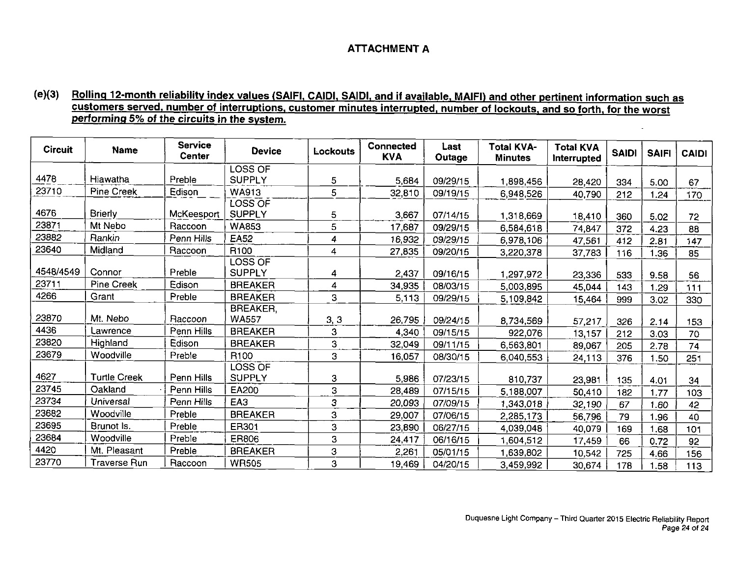#### **ATTACHMENT A**

#### **( e )(3) Rolling 12-month reliabilitv index values (SAIFI, CAIDI. SAIDI, and if available. MAIFI) and other pertinent information such as customers served, number of interruptions, customer minutes interrupted, number of lockouts, and so forth, for the worst performing 5% of the circuits in the system.**

| <b>Circuit</b> | <b>Name</b>         | <b>Service</b><br>Center | <b>Device</b>    | Lockouts | Connected<br><b>KVA</b> | Last<br>Outage | <b>Total KVA-</b><br><b>Minutes</b> | <b>Total KVA</b><br>Interrupted | <b>SAIDI</b> | <b>SAIFI</b> | <b>CAIDI</b> |
|----------------|---------------------|--------------------------|------------------|----------|-------------------------|----------------|-------------------------------------|---------------------------------|--------------|--------------|--------------|
|                |                     |                          | LOSS OF          |          |                         |                |                                     |                                 |              |              |              |
| 4478           | Hiawatha            | Preble                   | <b>SUPPLY</b>    | 5        | 5,684                   | 09/29/15       | 1,898,456                           | 28,420                          | 334          | 5.00         | 67           |
| 23710          | Pine Creek          | Edison                   | WA913            | 5        | 32,810                  | 09/19/15       | 6,948,526                           | 40,790                          | 212          | 1.24         | 170          |
|                |                     |                          | LOSS OF          |          |                         |                |                                     |                                 |              |              |              |
| 4676           | <b>Brierly</b>      | McKeesport               | <b>SUPPLY</b>    | 5        | 3,667                   | 07/14/15       | 1,318,669                           | 18,410                          | 360          | 5.02         | 72           |
| 23871          | Mt Nebo             | Raccoon                  | <b>WA853</b>     | 5        | 17,687                  | 09/29/15       | 6,584,618                           | 74,847                          | 372          | 4.23         | 88           |
| 23882          | Rankin              | Penn Hills               | <b>EA52</b>      | 4        | 16,932                  | 09/29/15       | 6,978,106                           | 47,561                          | 412          | 2.81         | 147          |
| 23640          | Midland             | Raccoon                  | R <sub>100</sub> | 4        | 27,835                  | 09/20/15       | 3,220,378                           | 37,783                          | 116          | 1.36         | 85           |
|                |                     |                          | LOSS OF          |          |                         |                |                                     |                                 |              |              |              |
| 4548/4549      | Connor              | Preble                   | <b>SUPPLY</b>    | 4        | 2,437                   | 09/16/15       | 1,297,972                           | 23,336                          | 533          | 9.58         | 56           |
| 23711          | Pine Creek          | Edison                   | <b>BREAKER</b>   | 4        | 34,935                  | 08/03/15       | 5,003,895                           | 45 044                          | 143          | 1.29         | 111          |
| 4266           | Grant               | Preble                   | <b>BREAKER</b>   | 3        | 5,113                   | 09/29/15       | 5,109,842                           | 15,464                          | 999          | 3.02         | 330          |
|                |                     |                          | BREAKER,         |          |                         |                |                                     |                                 |              |              |              |
| 23870          | Mt. Nebo            | Raccoon                  | <b>WA557</b>     | 3, 3     | 26,795                  | 09/24/15       | 8,734,569                           | 57,217                          | 326          | 2.14         | 153          |
| 4436           | Lawrence            | Penn Hills               | <b>BREAKER</b>   | 3        | 4,340                   | 09/15/15       | 922,076                             | 13,157                          | 212          | 3.03         | 70           |
| 23820          | Highland            | Edison                   | <b>BREAKER</b>   | 3        | 32,049                  | 09/11/15       | 6,563,801                           | 89,067                          | 205          | 2.78         | 74           |
| 23679          | Woodville           | Preble                   | R <sub>100</sub> | 3        | 16,057                  | 08/30/15       | 6,040,553                           | 24,113                          | 376          | 1.50         | 251          |
|                |                     |                          | <b>LOSS OF</b>   |          |                         |                |                                     |                                 |              |              |              |
| 4627           | <b>Turtle Creek</b> | Penn Hills               | <b>SUPPLY</b>    | 3        | 5,986                   | 07/23/15       | 810,737                             | 23,981                          | 135          | 4.01         | 34           |
| 23745          | Oakland             | Penn Hills               | EA200            | 3        | 28,489                  | 07/15/15       | 5,188,007                           | 50,410                          | 182          | 1.77         | 103          |
| 23734          | Universal           | Penn Hills               | EA3              | 3        | 20,093                  | 07/09/15       | 1,343,018                           | 32,190                          | 67           | 1.60         | 42           |
| 23682          | Woodville           | Preble                   | <b>BREAKER</b>   | 3        | 29,007                  | 07/06/15       | 2,285,173                           | 56,796                          | 79           | .96          | 40           |
| 23695          | Brunot Is.          | Preble                   | ER301            | 3        | 23,890                  | 06/27/15       | 4,039,048                           | 40,079                          | 169          | .68          | 101          |
| 23684          | Woodville           | Preble                   | ER806            | 3        | 24,417                  | 06/16/15       | 1,604,512                           | 17,459                          | 66           | 0.72         | 92           |
| 4420           | Mt. Pleasant        | Preble                   | <b>BREAKER</b>   | 3        | 2,261                   | 05/01/15       | 1,639,802                           | 10.542                          | 725          | 4.66         | 156          |
| 23770          | <b>Traverse Run</b> | Raccoon                  | <b>WR505</b>     | 3        | 19,469                  | 04/20/15       | 3,459,992                           | 30,674                          | 178          | .58          | 113          |